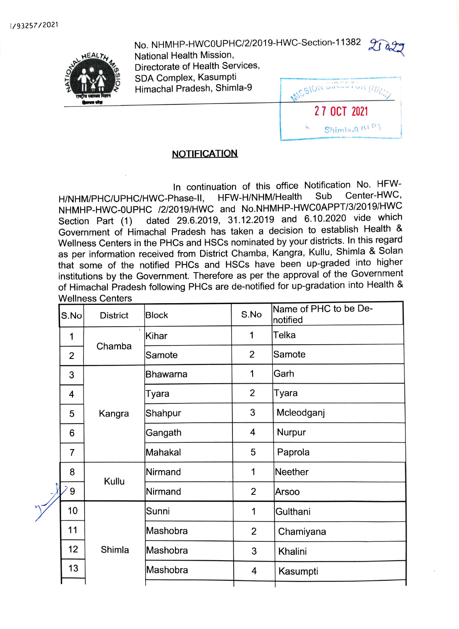No. NHMHP-HWCOUPHC/2/2019-HWC-Section-11382 7 National Health Mission,



Directorate of Health Services, SDA Complex, Kasumpti Himachal Pradesh, Shimla-9



## **NOTIFICATION**

In continuation of this office Notification No. HFW-<br>Phase-II, HFW-H/NHM/Health Sub Center-HWC, H/NHM/PHC/UPHC/HWC-Phase-II, HFW-H/NHM/Health Sub Center-HWC<br>H/NHM/PHC/UPHC/HWC-Phase-II, HFW-H/NHM/Health Sub-RRT/2/2040/LIMC NHMHP-HWC-OUPHC /2/2019/HWC and No.NHMHP-HWCOAPPT/3/2019/HWVC Section Part (1) dated 29.6.2019, 31.12.2019 and 6.10.2020 vide which Government of Himachal Pradesh has taken a decision to establish Health & Wellness Centers in the PHCs and HSCs nominated by your districts. In this regard as per information received from District Chamba, Kangra, Kullu, Shimla & Solan that some of the notified PHCs and HSCs have been up-graded into higher institutions by the Government. Therefore as per the approval of the Government of Himachal Pradesh following PHCs are de-notified for up-gradation into Health & Wellness Centers

|  | S.No           | <b>District</b> | <b>Block</b> | S.No           | Name of PHC to be De-<br>notified |
|--|----------------|-----------------|--------------|----------------|-----------------------------------|
|  | 1              | Chamba          | Kihar        | 1              | Telka                             |
|  | $\overline{2}$ |                 | Samote       | $\overline{2}$ | Samote                            |
|  | 3              | Kangra          | Bhawarna     | 1              | Garh                              |
|  | 4              |                 | Tyara        | $\overline{2}$ | Tyara                             |
|  | 5              |                 | Shahpur      | 3              | Mcleodganj                        |
|  | 6              |                 | Gangath      | 4              | Nurpur                            |
|  | $\overline{7}$ |                 | Mahakal      | 5              | Paprola                           |
|  | 8              | Kullu           | Nirmand      | 1              | Neether                           |
|  | 9              |                 | Nirmand      | $\overline{2}$ | Arsoo                             |
|  | 10             | Shimla          | Sunni        | 1              | Gulthani                          |
|  | 11             |                 | Mashobra     | $\overline{2}$ | Chamiyana                         |
|  | 12             |                 | Mashobra     | 3              | Khalini                           |
|  | 13             |                 | Mashobra     | 4              | Kasumpti                          |
|  |                |                 |              |                |                                   |